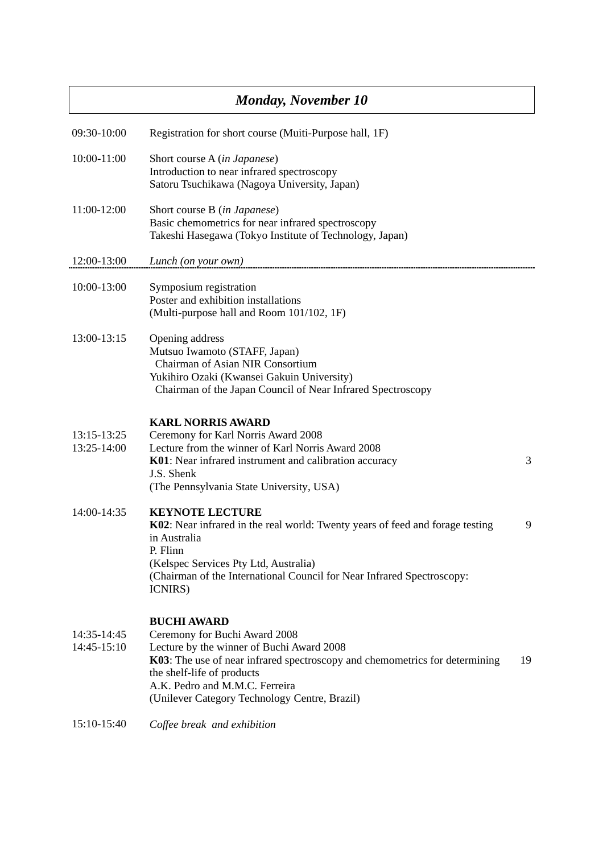# *Monday, November 10*

| 09:30-10:00                | Registration for short course (Muiti-Purpose hall, 1F)                                                                                                                                                                                                                                                 |
|----------------------------|--------------------------------------------------------------------------------------------------------------------------------------------------------------------------------------------------------------------------------------------------------------------------------------------------------|
| 10:00-11:00                | Short course A (in Japanese)<br>Introduction to near infrared spectroscopy<br>Satoru Tsuchikawa (Nagoya University, Japan)                                                                                                                                                                             |
| 11:00-12:00                | Short course B (in Japanese)<br>Basic chemometrics for near infrared spectroscopy<br>Takeshi Hasegawa (Tokyo Institute of Technology, Japan)                                                                                                                                                           |
| 12:00-13:00                | Lunch (on your own)                                                                                                                                                                                                                                                                                    |
| 10:00-13:00                | Symposium registration<br>Poster and exhibition installations<br>(Multi-purpose hall and Room 101/102, 1F)                                                                                                                                                                                             |
| 13:00-13:15                | Opening address<br>Mutsuo Iwamoto (STAFF, Japan)<br>Chairman of Asian NIR Consortium<br>Yukihiro Ozaki (Kwansei Gakuin University)<br>Chairman of the Japan Council of Near Infrared Spectroscopy                                                                                                      |
| 13:15-13:25<br>13:25-14:00 | <b>KARL NORRIS AWARD</b><br>Ceremony for Karl Norris Award 2008<br>Lecture from the winner of Karl Norris Award 2008<br>3<br>K01: Near infrared instrument and calibration accuracy<br>J.S. Shenk<br>(The Pennsylvania State University, USA)                                                          |
| 14:00-14:35                | <b>KEYNOTE LECTURE</b><br>K02: Near infrared in the real world: Twenty years of feed and forage testing<br>9<br>in Australia<br>P. Flinn<br>(Kelspec Services Pty Ltd, Australia)<br>(Chairman of the International Council for Near Infrared Spectroscopy:<br><b>ICNIRS</b> )                         |
| 14:35-14:45<br>14:45-15:10 | <b>BUCHI AWARD</b><br>Ceremony for Buchi Award 2008<br>Lecture by the winner of Buchi Award 2008<br>K03: The use of near infrared spectroscopy and chemometrics for determining<br>19<br>the shelf-life of products<br>A.K. Pedro and M.M.C. Ferreira<br>(Unilever Category Technology Centre, Brazil) |

15:10-15:40 *Coffee break and exhibition*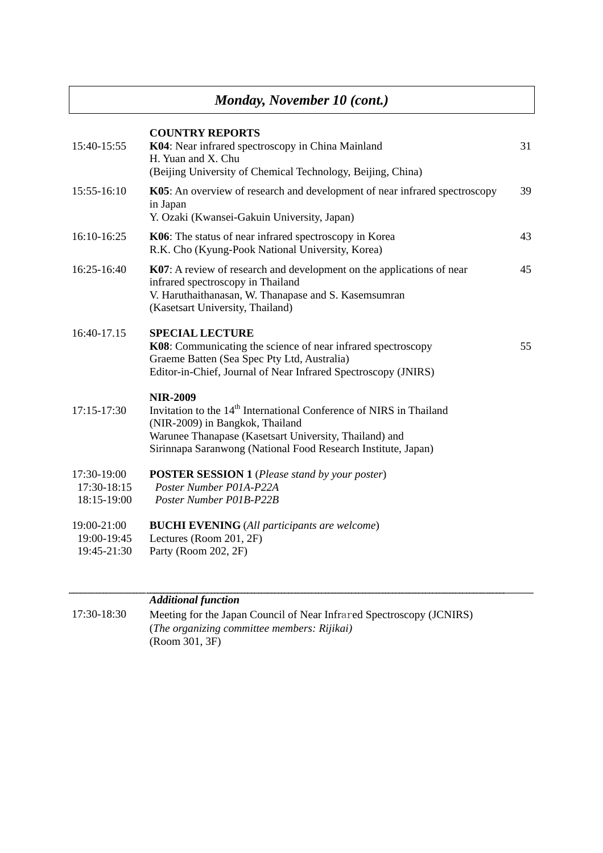# *Monday, November 10 (cont.)*

| 15:40-15:55                               | <b>COUNTRY REPORTS</b><br>K04: Near infrared spectroscopy in China Mainland<br>H. Yuan and X. Chu<br>(Beijing University of Chemical Technology, Beijing, China)                                                                                                 | 31 |
|-------------------------------------------|------------------------------------------------------------------------------------------------------------------------------------------------------------------------------------------------------------------------------------------------------------------|----|
| 15:55-16:10                               | K05: An overview of research and development of near infrared spectroscopy<br>in Japan<br>Y. Ozaki (Kwansei-Gakuin University, Japan)                                                                                                                            | 39 |
| 16:10-16:25                               | K06: The status of near infrared spectroscopy in Korea<br>R.K. Cho (Kyung-Pook National University, Korea)                                                                                                                                                       | 43 |
| 16:25-16:40                               | K07: A review of research and development on the applications of near<br>infrared spectroscopy in Thailand<br>V. Haruthaithanasan, W. Thanapase and S. Kasemsumran<br>(Kasetsart University, Thailand)                                                           | 45 |
| 16:40-17.15                               | <b>SPECIAL LECTURE</b><br>K08: Communicating the science of near infrared spectroscopy<br>Graeme Batten (Sea Spec Pty Ltd, Australia)<br>Editor-in-Chief, Journal of Near Infrared Spectroscopy (JNIRS)                                                          | 55 |
| 17:15-17:30                               | <b>NIR-2009</b><br>Invitation to the 14 <sup>th</sup> International Conference of NIRS in Thailand<br>(NIR-2009) in Bangkok, Thailand<br>Warunee Thanapase (Kasetsart University, Thailand) and<br>Sirinnapa Saranwong (National Food Research Institute, Japan) |    |
| 17:30-19:00<br>17:30-18:15<br>18:15-19:00 | <b>POSTER SESSION 1</b> (Please stand by your poster)<br>Poster Number P01A-P22A<br>Poster Number P01B-P22B                                                                                                                                                      |    |
| 19:00-21:00<br>19:00-19:45<br>19:45-21:30 | <b>BUCHI EVENING</b> (All participants are welcome)<br>Lectures (Room 201, 2F)<br>Party (Room 202, 2F)                                                                                                                                                           |    |
|                                           |                                                                                                                                                                                                                                                                  |    |

#### *Additional function*

| 17:30-18:30 | Meeting for the Japan Council of Near Infrared Spectroscopy (JCNIRS) |
|-------------|----------------------------------------------------------------------|
|             | ( <i>The organizing committee members: Rijikai</i> )                 |
|             | (Room 301, 3F)                                                       |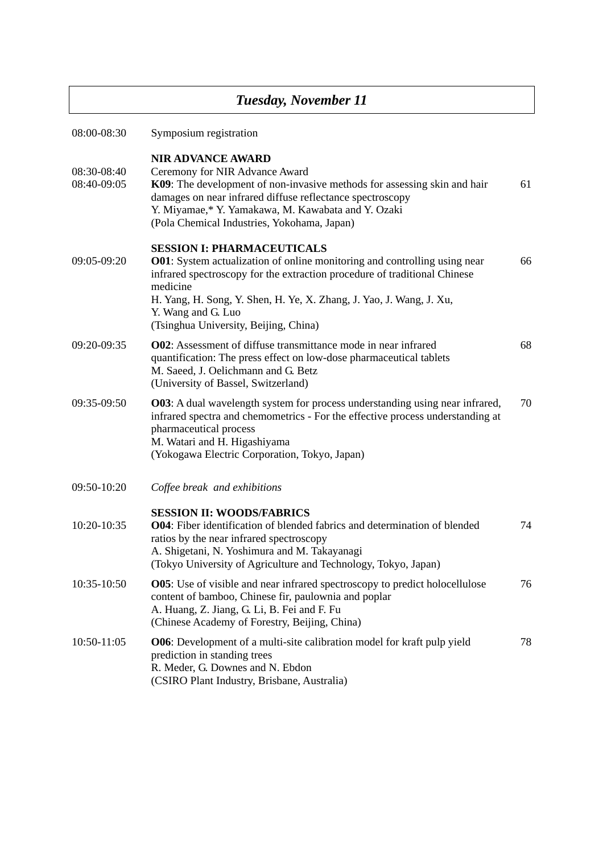# *Tuesday, November 11*

| 08:00-08:30                | Symposium registration                                                                                                                                                                                                                                                                                                                                |    |
|----------------------------|-------------------------------------------------------------------------------------------------------------------------------------------------------------------------------------------------------------------------------------------------------------------------------------------------------------------------------------------------------|----|
| 08:30-08:40<br>08:40-09:05 | <b>NIR ADVANCE AWARD</b><br>Ceremony for NIR Advance Award<br>K09: The development of non-invasive methods for assessing skin and hair<br>damages on near infrared diffuse reflectance spectroscopy<br>Y. Miyamae,* Y. Yamakawa, M. Kawabata and Y. Ozaki<br>(Pola Chemical Industries, Yokohama, Japan)                                              | 61 |
| 09:05-09:20                | <b>SESSION I: PHARMACEUTICALS</b><br><b>O01</b> : System actualization of online monitoring and controlling using near<br>infrared spectroscopy for the extraction procedure of traditional Chinese<br>medicine<br>H. Yang, H. Song, Y. Shen, H. Ye, X. Zhang, J. Yao, J. Wang, J. Xu,<br>Y. Wang and G. Luo<br>(Tsinghua University, Beijing, China) | 66 |
| 09:20-09:35                | <b>O02</b> : Assessment of diffuse transmittance mode in near infrared<br>quantification: The press effect on low-dose pharmaceutical tablets<br>M. Saeed, J. Oelichmann and G. Betz<br>(University of Bassel, Switzerland)                                                                                                                           | 68 |
| 09:35-09:50                | <b>O03</b> : A dual wavelength system for process understanding using near infrared,<br>infrared spectra and chemometrics - For the effective process understanding at<br>pharmaceutical process<br>M. Watari and H. Higashiyama<br>(Yokogawa Electric Corporation, Tokyo, Japan)                                                                     | 70 |
| 09:50-10:20                | Coffee break and exhibitions                                                                                                                                                                                                                                                                                                                          |    |
| 10:20-10:35                | <b>SESSION II: WOODS/FABRICS</b><br><b>O04</b> : Fiber identification of blended fabrics and determination of blended<br>ratios by the near infrared spectroscopy<br>A. Shigetani, N. Yoshimura and M. Takayanagi<br>(Tokyo University of Agriculture and Technology, Tokyo, Japan)                                                                   | 74 |
| 10:35-10:50                | <b>O05</b> : Use of visible and near infrared spectroscopy to predict holocellulose<br>content of bamboo, Chinese fir, paulownia and poplar<br>A. Huang, Z. Jiang, G. Li, B. Fei and F. Fu<br>(Chinese Academy of Forestry, Beijing, China)                                                                                                           | 76 |
| 10:50-11:05                | <b>O06</b> : Development of a multi-site calibration model for kraft pulp yield<br>prediction in standing trees<br>R. Meder, G. Downes and N. Ebdon<br>(CSIRO Plant Industry, Brisbane, Australia)                                                                                                                                                    | 78 |
|                            |                                                                                                                                                                                                                                                                                                                                                       |    |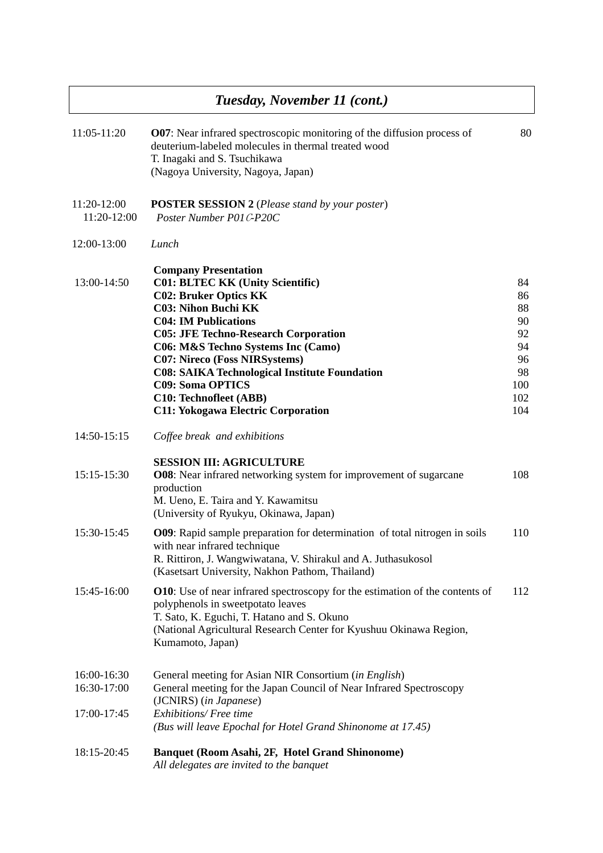# *Tuesday, November 11 (cont.)*

| 11:05-11:20                               | <b>O07</b> : Near infrared spectroscopic monitoring of the diffusion process of<br>deuterium-labeled molecules in thermal treated wood<br>T. Inagaki and S. Tsuchikawa<br>(Nagoya University, Nagoya, Japan)                                                                                                                                                                                                                                               | 80                                                                |
|-------------------------------------------|------------------------------------------------------------------------------------------------------------------------------------------------------------------------------------------------------------------------------------------------------------------------------------------------------------------------------------------------------------------------------------------------------------------------------------------------------------|-------------------------------------------------------------------|
| 11:20-12:00<br>11:20-12:00                | <b>POSTER SESSION 2</b> (Please stand by your poster)<br>Poster Number P01C-P20C                                                                                                                                                                                                                                                                                                                                                                           |                                                                   |
| 12:00-13:00                               | Lunch                                                                                                                                                                                                                                                                                                                                                                                                                                                      |                                                                   |
| 13:00-14:50                               | <b>Company Presentation</b><br><b>C01: BLTEC KK (Unity Scientific)</b><br><b>C02: Bruker Optics KK</b><br><b>C03: Nihon Buchi KK</b><br><b>C04: IM Publications</b><br><b>C05: JFE Techno-Research Corporation</b><br>C06: M&S Techno Systems Inc (Camo)<br><b>C07: Nireco (Foss NIRSystems)</b><br><b>C08: SAIKA Technological Institute Foundation</b><br><b>C09: Soma OPTICS</b><br>C10: Technofleet (ABB)<br><b>C11: Yokogawa Electric Corporation</b> | 84<br>86<br>88<br>90<br>92<br>94<br>96<br>98<br>100<br>102<br>104 |
| 14:50-15:15                               | Coffee break and exhibitions                                                                                                                                                                                                                                                                                                                                                                                                                               |                                                                   |
| 15:15-15:30                               | <b>SESSION III: AGRICULTURE</b><br><b>O08</b> : Near infrared networking system for improvement of sugarcane<br>production<br>M. Ueno, E. Taira and Y. Kawamitsu<br>(University of Ryukyu, Okinawa, Japan)                                                                                                                                                                                                                                                 | 108                                                               |
| 15:30-15:45                               | <b>O09</b> : Rapid sample preparation for determination of total nitrogen in soils<br>with near infrared technique<br>R. Rittiron, J. Wangwiwatana, V. Shirakul and A. Juthasukosol<br>(Kasetsart University, Nakhon Pathom, Thailand)                                                                                                                                                                                                                     | 110                                                               |
| 15:45-16:00                               | <b>O10</b> : Use of near infrared spectroscopy for the estimation of the contents of<br>polyphenols in sweetpotato leaves<br>T. Sato, K. Eguchi, T. Hatano and S. Okuno<br>(National Agricultural Research Center for Kyushuu Okinawa Region,<br>Kumamoto, Japan)                                                                                                                                                                                          | 112                                                               |
| 16:00-16:30<br>16:30-17:00<br>17:00-17:45 | General meeting for Asian NIR Consortium (in English)<br>General meeting for the Japan Council of Near Infrared Spectroscopy<br>(JCNIRS) (in Japanese)<br>Exhibitions/ Free time<br>(Bus will leave Epochal for Hotel Grand Shinonome at 17.45)                                                                                                                                                                                                            |                                                                   |
| 18:15-20:45                               | Banquet (Room Asahi, 2F, Hotel Grand Shinonome)<br>All delegates are invited to the banquet                                                                                                                                                                                                                                                                                                                                                                |                                                                   |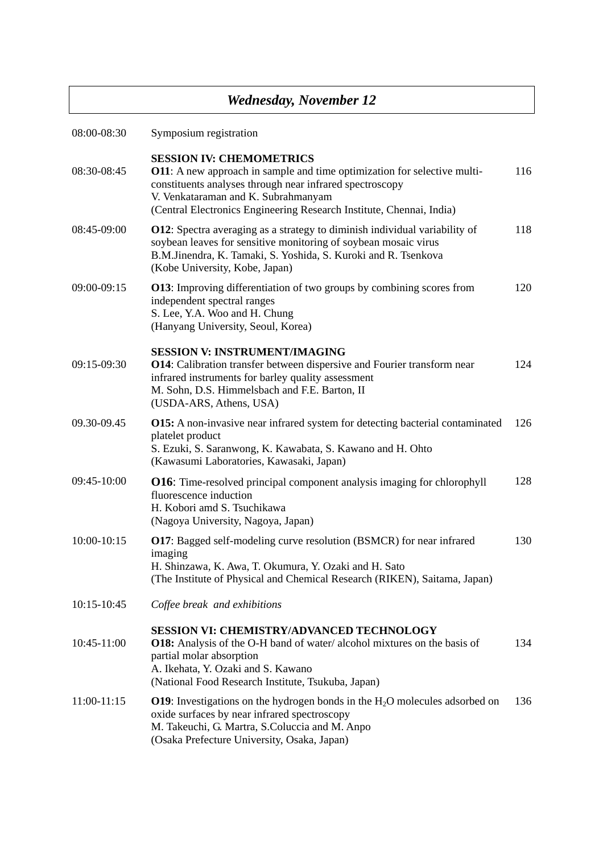# *Wednesday, November 12*

| 08:00-08:30   | Symposium registration                                                                                                                                                                                                                                                                 |     |
|---------------|----------------------------------------------------------------------------------------------------------------------------------------------------------------------------------------------------------------------------------------------------------------------------------------|-----|
| 08:30-08:45   | <b>SESSION IV: CHEMOMETRICS</b><br>O11: A new approach in sample and time optimization for selective multi-<br>constituents analyses through near infrared spectroscopy<br>V. Venkataraman and K. Subrahmanyam<br>(Central Electronics Engineering Research Institute, Chennai, India) | 116 |
| 08:45-09:00   | <b>O12</b> : Spectra averaging as a strategy to diminish individual variability of<br>soybean leaves for sensitive monitoring of soybean mosaic virus<br>B.M.Jinendra, K. Tamaki, S. Yoshida, S. Kuroki and R. Tsenkova<br>(Kobe University, Kobe, Japan)                              | 118 |
| 09:00-09:15   | <b>O13</b> : Improving differentiation of two groups by combining scores from<br>independent spectral ranges<br>S. Lee, Y.A. Woo and H. Chung<br>(Hanyang University, Seoul, Korea)                                                                                                    | 120 |
| 09:15-09:30   | <b>SESSION V: INSTRUMENT/IMAGING</b><br><b>O14</b> : Calibration transfer between dispersive and Fourier transform near<br>infrared instruments for barley quality assessment<br>M. Sohn, D.S. Himmelsbach and F.E. Barton, II<br>(USDA-ARS, Athens, USA)                              | 124 |
| 09.30-09.45   | <b>O15:</b> A non-invasive near infrared system for detecting bacterial contaminated<br>platelet product<br>S. Ezuki, S. Saranwong, K. Kawabata, S. Kawano and H. Ohto<br>(Kawasumi Laboratories, Kawasaki, Japan)                                                                     | 126 |
| 09:45-10:00   | <b>O16</b> : Time-resolved principal component analysis imaging for chlorophyll<br>fluorescence induction<br>H. Kobori amd S. Tsuchikawa<br>(Nagoya University, Nagoya, Japan)                                                                                                         | 128 |
| 10:00-10:15   | <b>O17</b> : Bagged self-modeling curve resolution (BSMCR) for near infrared<br>imaging<br>H. Shinzawa, K. Awa, T. Okumura, Y. Ozaki and H. Sato<br>(The Institute of Physical and Chemical Research (RIKEN), Saitama, Japan)                                                          | 130 |
| 10:15-10:45   | Coffee break and exhibitions                                                                                                                                                                                                                                                           |     |
| 10:45-11:00   | <b>SESSION VI: CHEMISTRY/ADVANCED TECHNOLOGY</b><br><b>O18:</b> Analysis of the O-H band of water/alcohol mixtures on the basis of<br>partial molar absorption<br>A. Ikehata, Y. Ozaki and S. Kawano<br>(National Food Research Institute, Tsukuba, Japan)                             | 134 |
| $11:00-11:15$ | <b>O19</b> : Investigations on the hydrogen bonds in the $H_2O$ molecules adsorbed on<br>oxide surfaces by near infrared spectroscopy<br>M. Takeuchi, G. Martra, S.Coluccia and M. Anpo<br>(Osaka Prefecture University, Osaka, Japan)                                                 | 136 |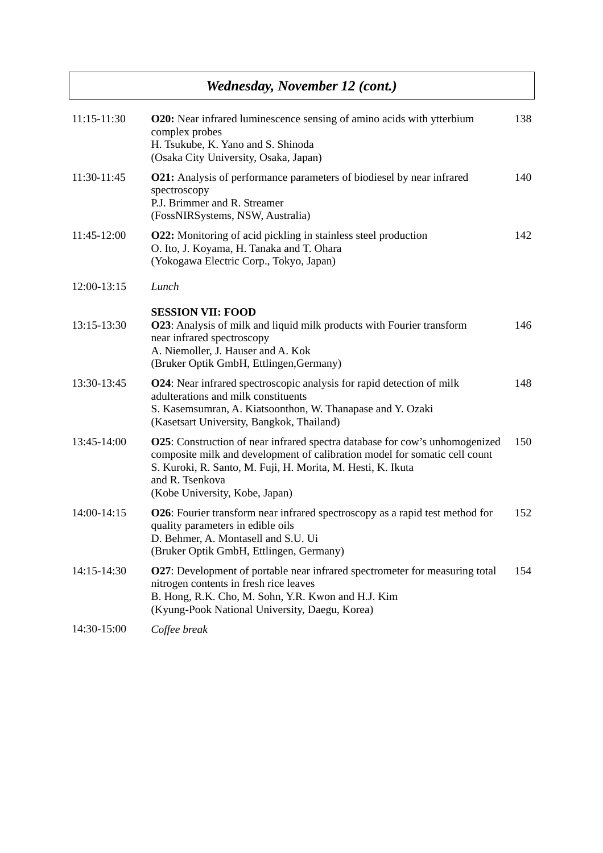# *Wednesday, November 12 (cont.)*

| 11:15-11:30 | <b>O20:</b> Near infrared luminescence sensing of amino acids with ytterbium<br>complex probes<br>H. Tsukube, K. Yano and S. Shinoda<br>(Osaka City University, Osaka, Japan)                                                                                                         | 138 |
|-------------|---------------------------------------------------------------------------------------------------------------------------------------------------------------------------------------------------------------------------------------------------------------------------------------|-----|
| 11:30-11:45 | <b>O21:</b> Analysis of performance parameters of biodiesel by near infrared<br>spectroscopy<br>P.J. Brimmer and R. Streamer<br>(FossNIRSystems, NSW, Australia)                                                                                                                      | 140 |
| 11:45-12:00 | <b>O22:</b> Monitoring of acid pickling in stainless steel production<br>O. Ito, J. Koyama, H. Tanaka and T. Ohara<br>(Yokogawa Electric Corp., Tokyo, Japan)                                                                                                                         | 142 |
| 12:00-13:15 | Lunch                                                                                                                                                                                                                                                                                 |     |
| 13:15-13:30 | <b>SESSION VII: FOOD</b><br><b>O23</b> : Analysis of milk and liquid milk products with Fourier transform<br>near infrared spectroscopy<br>A. Niemoller, J. Hauser and A. Kok<br>(Bruker Optik GmbH, Ettlingen, Germany)                                                              | 146 |
| 13:30-13:45 | <b>O24</b> : Near infrared spectroscopic analysis for rapid detection of milk<br>adulterations and milk constituents<br>S. Kasemsumran, A. Kiatsoonthon, W. Thanapase and Y. Ozaki<br>(Kasetsart University, Bangkok, Thailand)                                                       | 148 |
| 13:45-14:00 | <b>O25</b> : Construction of near infrared spectra database for cow's unhomogenized<br>composite milk and development of calibration model for somatic cell count<br>S. Kuroki, R. Santo, M. Fuji, H. Morita, M. Hesti, K. Ikuta<br>and R. Tsenkova<br>(Kobe University, Kobe, Japan) | 150 |
| 14:00-14:15 | <b>O26</b> : Fourier transform near infrared spectroscopy as a rapid test method for<br>quality parameters in edible oils<br>D. Behmer, A. Montasell and S.U. Ui<br>(Bruker Optik GmbH, Ettlingen, Germany)                                                                           | 152 |
| 14:15-14:30 | <b>O27</b> : Development of portable near infrared spectrometer for measuring total<br>nitrogen contents in fresh rice leaves<br>B. Hong, R.K. Cho, M. Sohn, Y.R. Kwon and H.J. Kim<br>(Kyung-Pook National University, Daegu, Korea)                                                 | 154 |
| 14:30-15:00 | Coffee break                                                                                                                                                                                                                                                                          |     |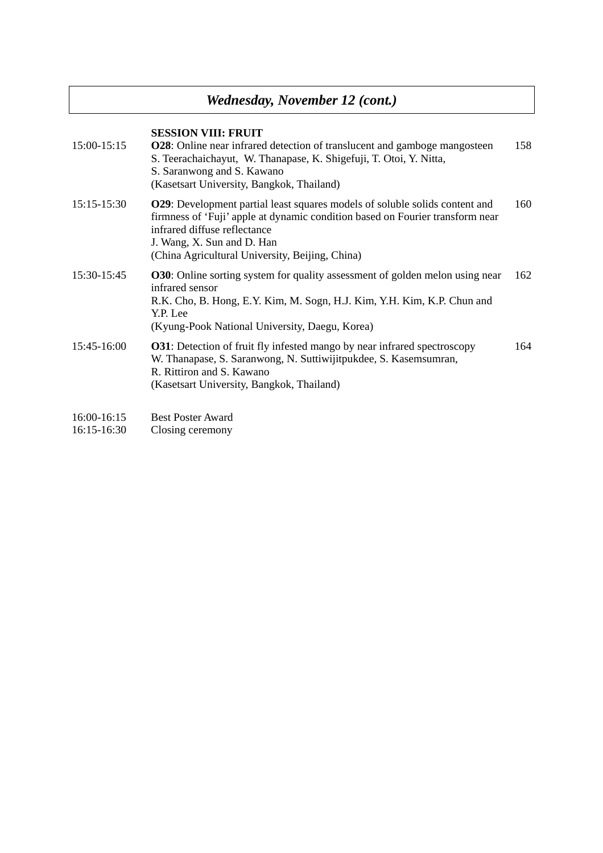# *Wednesday, November 12 (cont.)*

|  | <b>SESSION VIII: FRUIT</b> |  |
|--|----------------------------|--|
|--|----------------------------|--|

| 15:00-15:15   | <b>O28</b> : Online near infrared detection of translucent and gamboge mangosteen<br>S. Teerachaichayut, W. Thanapase, K. Shigefuji, T. Otoi, Y. Nitta,<br>S. Saranwong and S. Kawano<br>(Kasetsart University, Bangkok, Thailand)                                                    | 158 |
|---------------|---------------------------------------------------------------------------------------------------------------------------------------------------------------------------------------------------------------------------------------------------------------------------------------|-----|
| $15:15-15:30$ | <b>O29</b> : Development partial least squares models of soluble solids content and<br>firmness of 'Fuji' apple at dynamic condition based on Fourier transform near<br>infrared diffuse reflectance<br>J. Wang, X. Sun and D. Han<br>(China Agricultural University, Beijing, China) | 160 |
| 15:30-15:45   | <b>O30</b> : Online sorting system for quality assessment of golden melon using near<br>infrared sensor<br>R.K. Cho, B. Hong, E.Y. Kim, M. Sogn, H.J. Kim, Y.H. Kim, K.P. Chun and<br>Y.P. Lee<br>(Kyung-Pook National University, Daegu, Korea)                                      | 162 |
| 15:45-16:00   | <b>O31</b> : Detection of fruit fly infested mango by near infrared spectroscopy<br>W. Thanapase, S. Saranwong, N. Suttiwijitpukdee, S. Kasemsumran,<br>R. Rittiron and S. Kawano<br>(Kasetsart University, Bangkok, Thailand)                                                        | 164 |

- 16:00-16:15 Best Poster Award
- 16:15-16:30 Closing ceremony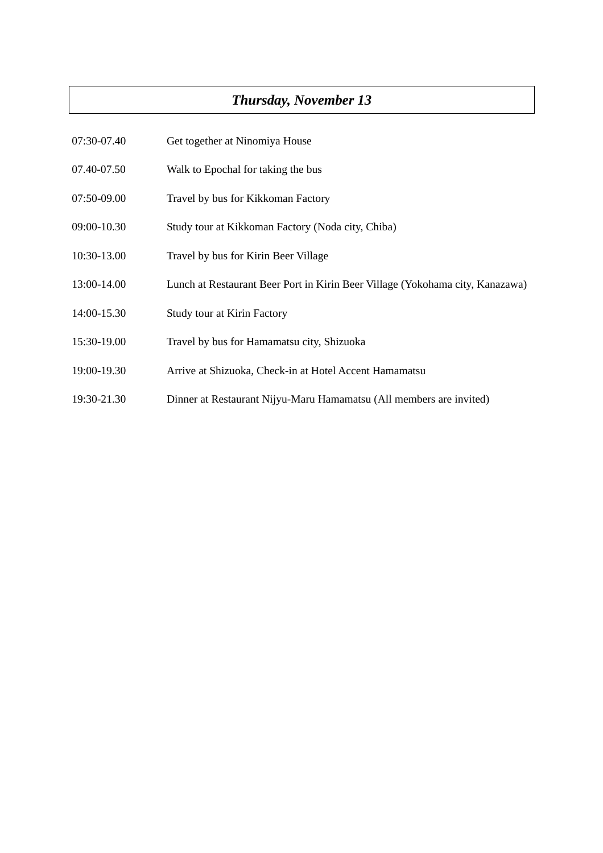#### *Thursday, November 13*

- 07:30-07.40 Get together at Ninomiya House
- 07.40-07.50 Walk to Epochal for taking the bus
- 07:50-09.00 Travel by bus for Kikkoman Factory
- 09:00-10.30 Study tour at Kikkoman Factory (Noda city, Chiba)
- 10:30-13.00 Travel by bus for Kirin Beer Village
- 13:00-14.00 Lunch at Restaurant Beer Port in Kirin Beer Village (Yokohama city, Kanazawa)
- 14:00-15.30 Study tour at Kirin Factory
- 15:30-19.00 Travel by bus for Hamamatsu city, Shizuoka
- 19:00-19.30 Arrive at Shizuoka, Check-in at Hotel Accent Hamamatsu
- 19:30-21.30 Dinner at Restaurant Nijyu-Maru Hamamatsu (All members are invited)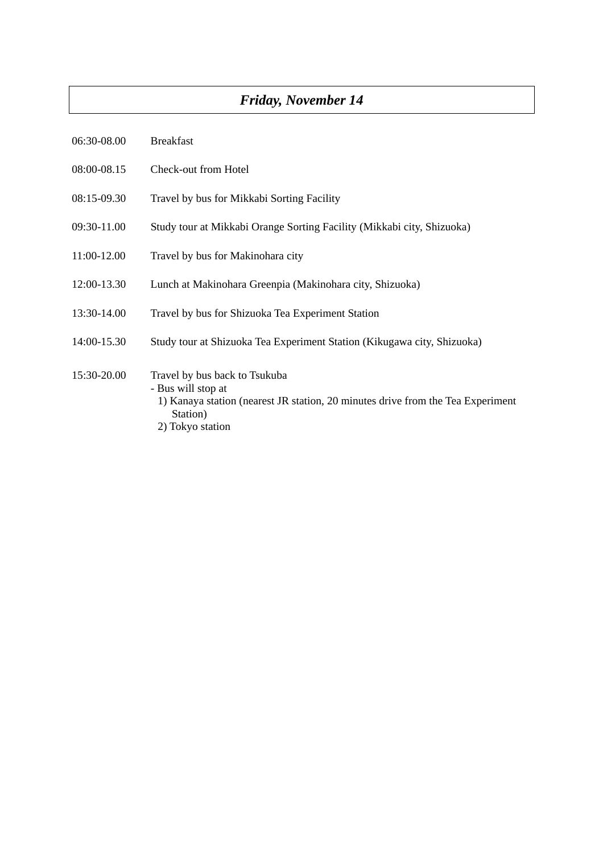# *Friday, November 14*

| 06:30-08.00 | <b>Breakfast</b>                                                                                                                                                       |
|-------------|------------------------------------------------------------------------------------------------------------------------------------------------------------------------|
| 08:00-08.15 | Check-out from Hotel                                                                                                                                                   |
| 08:15-09.30 | Travel by bus for Mikkabi Sorting Facility                                                                                                                             |
| 09:30-11.00 | Study tour at Mikkabi Orange Sorting Facility (Mikkabi city, Shizuoka)                                                                                                 |
| 11:00-12.00 | Travel by bus for Makinohara city                                                                                                                                      |
| 12:00-13.30 | Lunch at Makinohara Greenpia (Makinohara city, Shizuoka)                                                                                                               |
| 13:30-14.00 | Travel by bus for Shizuoka Tea Experiment Station                                                                                                                      |
| 14:00-15.30 | Study tour at Shizuoka Tea Experiment Station (Kikugawa city, Shizuoka)                                                                                                |
| 15:30-20.00 | Travel by bus back to Tsukuba<br>- Bus will stop at<br>1) Kanaya station (nearest JR station, 20 minutes drive from the Tea Experiment<br>Station)<br>2) Tokyo station |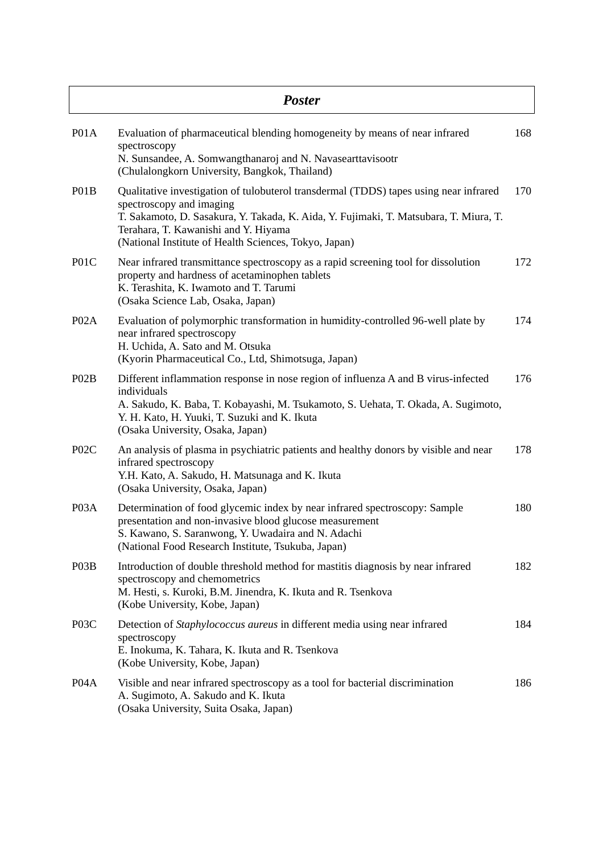| <b>Poster</b>                 |                                                                                                                                                                                                                                                                                                             |     |
|-------------------------------|-------------------------------------------------------------------------------------------------------------------------------------------------------------------------------------------------------------------------------------------------------------------------------------------------------------|-----|
| P <sub>01</sub> A             | Evaluation of pharmaceutical blending homogeneity by means of near infrared<br>spectroscopy<br>N. Sunsandee, A. Somwangthanaroj and N. Navasearttavisootr<br>(Chulalongkorn University, Bangkok, Thailand)                                                                                                  | 168 |
| P01B                          | Qualitative investigation of tulobuterol transdermal (TDDS) tapes using near infrared<br>spectroscopy and imaging<br>T. Sakamoto, D. Sasakura, Y. Takada, K. Aida, Y. Fujimaki, T. Matsubara, T. Miura, T.<br>Terahara, T. Kawanishi and Y. Hiyama<br>(National Institute of Health Sciences, Tokyo, Japan) | 170 |
| P <sub>0</sub> 1C             | Near infrared transmittance spectroscopy as a rapid screening tool for dissolution<br>property and hardness of acetaminophen tablets<br>K. Terashita, K. Iwamoto and T. Tarumi<br>(Osaka Science Lab, Osaka, Japan)                                                                                         | 172 |
| P <sub>02A</sub>              | Evaluation of polymorphic transformation in humidity-controlled 96-well plate by<br>near infrared spectroscopy<br>H. Uchida, A. Sato and M. Otsuka<br>(Kyorin Pharmaceutical Co., Ltd, Shimotsuga, Japan)                                                                                                   | 174 |
| PO2B                          | Different inflammation response in nose region of influenza A and B virus-infected<br>individuals<br>A. Sakudo, K. Baba, T. Kobayashi, M. Tsukamoto, S. Uehata, T. Okada, A. Sugimoto,<br>Y. H. Kato, H. Yuuki, T. Suzuki and K. Ikuta<br>(Osaka University, Osaka, Japan)                                  | 176 |
| P <sub>02</sub> C             | An analysis of plasma in psychiatric patients and healthy donors by visible and near<br>infrared spectroscopy<br>Y.H. Kato, A. Sakudo, H. Matsunaga and K. Ikuta<br>(Osaka University, Osaka, Japan)                                                                                                        | 178 |
| P <sub>03</sub> A             | Determination of food glycemic index by near infrared spectroscopy: Sample<br>presentation and non-invasive blood glucose measurement<br>S. Kawano, S. Saranwong, Y. Uwadaira and N. Adachi<br>(National Food Research Institute, Tsukuba, Japan)                                                           | 180 |
| P <sub>0</sub> 3 <sub>B</sub> | Introduction of double threshold method for mastitis diagnosis by near infrared<br>spectroscopy and chemometrics<br>M. Hesti, s. Kuroki, B.M. Jinendra, K. Ikuta and R. Tsenkova<br>(Kobe University, Kobe, Japan)                                                                                          | 182 |
| P <sub>0</sub> 3C             | Detection of <i>Staphylococcus aureus</i> in different media using near infrared<br>spectroscopy<br>E. Inokuma, K. Tahara, K. Ikuta and R. Tsenkova<br>(Kobe University, Kobe, Japan)                                                                                                                       | 184 |
| P <sub>04</sub> A             | Visible and near infrared spectroscopy as a tool for bacterial discrimination<br>A. Sugimoto, A. Sakudo and K. Ikuta<br>(Osaka University, Suita Osaka, Japan)                                                                                                                                              | 186 |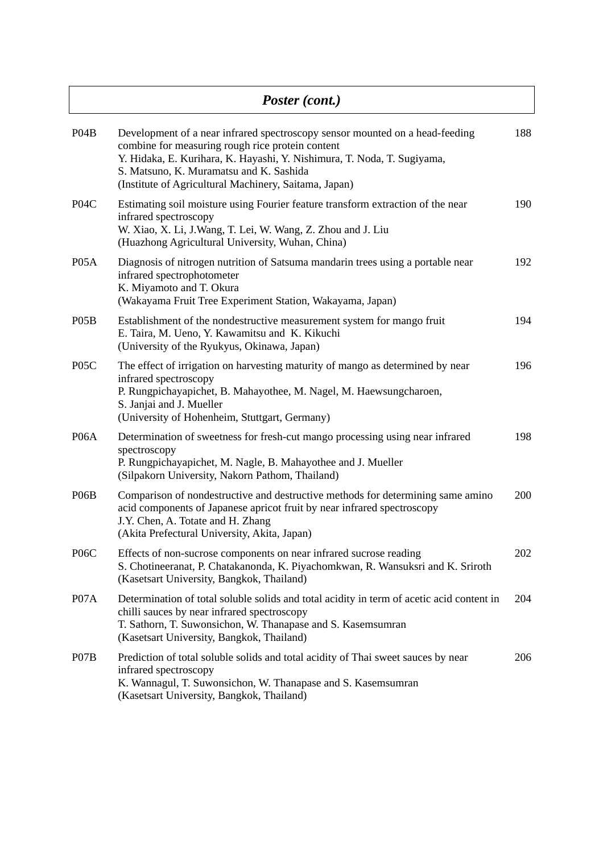# *Poster (cont.)*

| P04B              | Development of a near infrared spectroscopy sensor mounted on a head-feeding<br>combine for measuring rough rice protein content<br>Y. Hidaka, E. Kurihara, K. Hayashi, Y. Nishimura, T. Noda, T. Sugiyama,<br>S. Matsuno, K. Muramatsu and K. Sashida<br>(Institute of Agricultural Machinery, Saitama, Japan) | 188 |
|-------------------|-----------------------------------------------------------------------------------------------------------------------------------------------------------------------------------------------------------------------------------------------------------------------------------------------------------------|-----|
| P <sub>04</sub> C | Estimating soil moisture using Fourier feature transform extraction of the near<br>infrared spectroscopy<br>W. Xiao, X. Li, J. Wang, T. Lei, W. Wang, Z. Zhou and J. Liu<br>(Huazhong Agricultural University, Wuhan, China)                                                                                    | 190 |
| P <sub>05</sub> A | Diagnosis of nitrogen nutrition of Satsuma mandarin trees using a portable near<br>infrared spectrophotometer<br>K. Miyamoto and T. Okura<br>(Wakayama Fruit Tree Experiment Station, Wakayama, Japan)                                                                                                          | 192 |
| P05B              | Establishment of the nondestructive measurement system for mango fruit<br>E. Taira, M. Ueno, Y. Kawamitsu and K. Kikuchi<br>(University of the Ryukyus, Okinawa, Japan)                                                                                                                                         | 194 |
| P <sub>05</sub> C | The effect of irrigation on harvesting maturity of mango as determined by near<br>infrared spectroscopy<br>P. Rungpichayapichet, B. Mahayothee, M. Nagel, M. Haewsungcharoen,<br>S. Janjai and J. Mueller<br>(University of Hohenheim, Stuttgart, Germany)                                                      | 196 |
| P <sub>06</sub> A | Determination of sweetness for fresh-cut mango processing using near infrared<br>spectroscopy<br>P. Rungpichayapichet, M. Nagle, B. Mahayothee and J. Mueller<br>(Silpakorn University, Nakorn Pathom, Thailand)                                                                                                | 198 |
| P <sub>06</sub> B | Comparison of nondestructive and destructive methods for determining same amino<br>acid components of Japanese apricot fruit by near infrared spectroscopy<br>J.Y. Chen, A. Totate and H. Zhang<br>(Akita Prefectural University, Akita, Japan)                                                                 | 200 |
| P <sub>06</sub> C | Effects of non-sucrose components on near infrared sucrose reading<br>S. Chotineeranat, P. Chatakanonda, K. Piyachomkwan, R. Wansuksri and K. Sriroth<br>(Kasetsart University, Bangkok, Thailand)                                                                                                              | 202 |
| P <sub>07</sub> A | Determination of total soluble solids and total acidity in term of acetic acid content in<br>chilli sauces by near infrared spectroscopy<br>T. Sathorn, T. Suwonsichon, W. Thanapase and S. Kasemsumran<br>(Kasetsart University, Bangkok, Thailand)                                                            | 204 |
| P <sub>07</sub> B | Prediction of total soluble solids and total acidity of Thai sweet sauces by near<br>infrared spectroscopy<br>K. Wannagul, T. Suwonsichon, W. Thanapase and S. Kasemsumran<br>(Kasetsart University, Bangkok, Thailand)                                                                                         | 206 |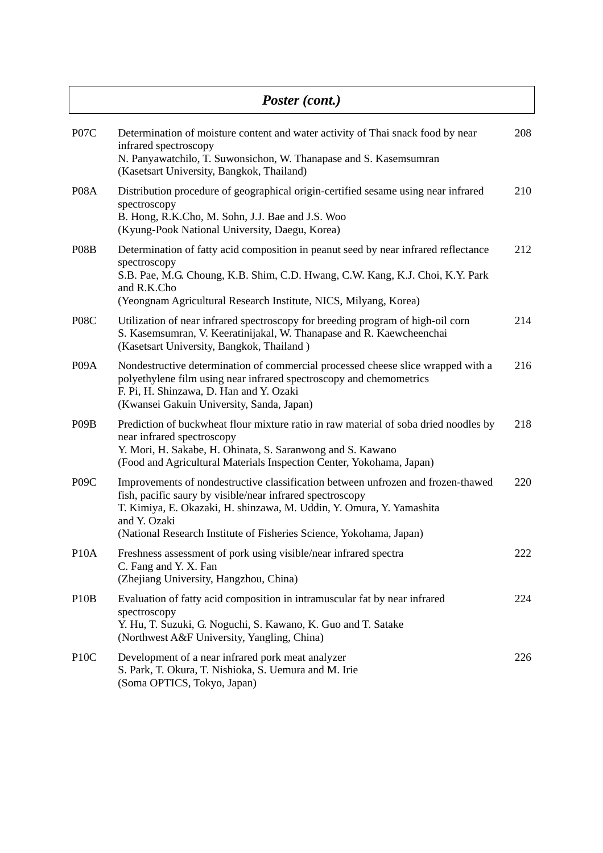| Poster (cont.)    |                                                                                                                                                                                                                                                                                                              |     |  |
|-------------------|--------------------------------------------------------------------------------------------------------------------------------------------------------------------------------------------------------------------------------------------------------------------------------------------------------------|-----|--|
| P <sub>07</sub> C | Determination of moisture content and water activity of Thai snack food by near<br>infrared spectroscopy<br>N. Panyawatchilo, T. Suwonsichon, W. Thanapase and S. Kasemsumran<br>(Kasetsart University, Bangkok, Thailand)                                                                                   | 208 |  |
| P <sub>08</sub> A | Distribution procedure of geographical origin-certified sesame using near infrared<br>spectroscopy<br>B. Hong, R.K.Cho, M. Sohn, J.J. Bae and J.S. Woo<br>(Kyung-Pook National University, Daegu, Korea)                                                                                                     | 210 |  |
| P <sub>08</sub> B | Determination of fatty acid composition in peanut seed by near infrared reflectance<br>spectroscopy<br>S.B. Pae, M.G. Choung, K.B. Shim, C.D. Hwang, C.W. Kang, K.J. Choi, K.Y. Park<br>and R.K.Cho<br>(Yeongnam Agricultural Research Institute, NICS, Milyang, Korea)                                      | 212 |  |
| P <sub>08</sub> C | Utilization of near infrared spectroscopy for breeding program of high-oil corn<br>S. Kasemsumran, V. Keeratinijakal, W. Thanapase and R. Kaewcheenchai<br>(Kasetsart University, Bangkok, Thailand)                                                                                                         | 214 |  |
| P <sub>09</sub> A | Nondestructive determination of commercial processed cheese slice wrapped with a<br>polyethylene film using near infrared spectroscopy and chemometrics<br>F. Pi, H. Shinzawa, D. Han and Y. Ozaki<br>(Kwansei Gakuin University, Sanda, Japan)                                                              | 216 |  |
| P <sub>09</sub> B | Prediction of buckwheat flour mixture ratio in raw material of soba dried noodles by<br>near infrared spectroscopy<br>Y. Mori, H. Sakabe, H. Ohinata, S. Saranwong and S. Kawano<br>(Food and Agricultural Materials Inspection Center, Yokohama, Japan)                                                     | 218 |  |
| P <sub>09</sub> C | Improvements of nondestructive classification between unfrozen and frozen-thawed<br>fish, pacific saury by visible/near infrared spectroscopy<br>T. Kimiya, E. Okazaki, H. shinzawa, M. Uddin, Y. Omura, Y. Yamashita<br>and Y. Ozaki<br>(National Research Institute of Fisheries Science, Yokohama, Japan) | 220 |  |
| P <sub>10</sub> A | Freshness assessment of pork using visible/near infrared spectra<br>C. Fang and Y. X. Fan<br>(Zhejiang University, Hangzhou, China)                                                                                                                                                                          | 222 |  |
| P10B              | Evaluation of fatty acid composition in intramuscular fat by near infrared<br>spectroscopy<br>Y. Hu, T. Suzuki, G. Noguchi, S. Kawano, K. Guo and T. Satake<br>(Northwest A&F University, Yangling, China)                                                                                                   | 224 |  |
| P <sub>10</sub> C | Development of a near infrared pork meat analyzer<br>S. Park, T. Okura, T. Nishioka, S. Uemura and M. Irie<br>(Soma OPTICS, Tokyo, Japan)                                                                                                                                                                    | 226 |  |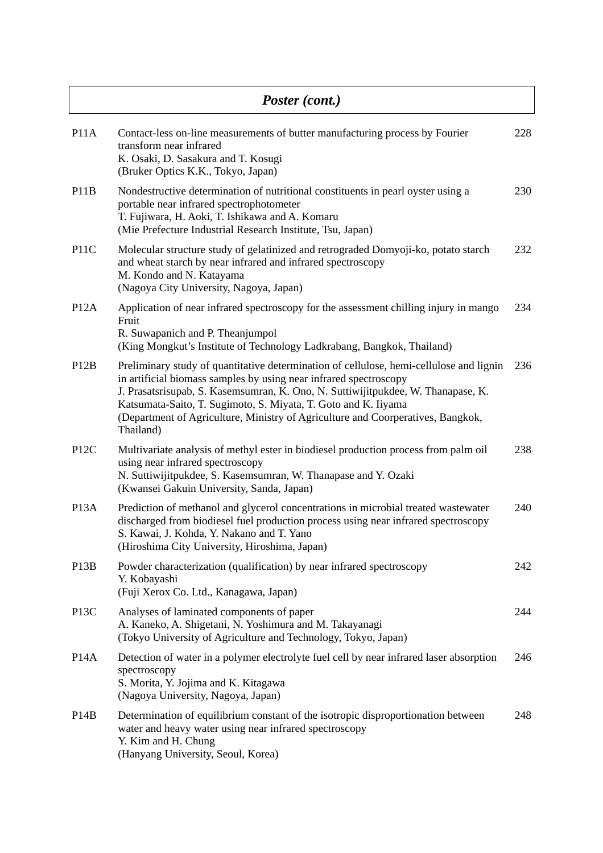| Poster (cont.)    |                                                                                                                                                                                                                                                                                                                                                                                                                    |     |  |
|-------------------|--------------------------------------------------------------------------------------------------------------------------------------------------------------------------------------------------------------------------------------------------------------------------------------------------------------------------------------------------------------------------------------------------------------------|-----|--|
| P <sub>11</sub> A | Contact-less on-line measurements of butter manufacturing process by Fourier<br>transform near infrared<br>K. Osaki, D. Sasakura and T. Kosugi<br>(Bruker Optics K.K., Tokyo, Japan)                                                                                                                                                                                                                               | 228 |  |
| P11B              | Nondestructive determination of nutritional constituents in pearl oyster using a<br>portable near infrared spectrophotometer<br>T. Fujiwara, H. Aoki, T. Ishikawa and A. Komaru<br>(Mie Prefecture Industrial Research Institute, Tsu, Japan)                                                                                                                                                                      | 230 |  |
| P <sub>11</sub> C | Molecular structure study of gelatinized and retrograded Domyoji-ko, potato starch<br>and wheat starch by near infrared and infrared spectroscopy<br>M. Kondo and N. Katayama<br>(Nagoya City University, Nagoya, Japan)                                                                                                                                                                                           | 232 |  |
| P <sub>12</sub> A | Application of near infrared spectroscopy for the assessment chilling injury in mango<br>Fruit<br>R. Suwapanich and P. Theanjumpol<br>(King Mongkut's Institute of Technology Ladkrabang, Bangkok, Thailand)                                                                                                                                                                                                       | 234 |  |
| P12B              | Preliminary study of quantitative determination of cellulose, hemi-cellulose and lignin<br>in artificial biomass samples by using near infrared spectroscopy<br>J. Prasatsrisupab, S. Kasemsumran, K. Ono, N. Suttiwijitpukdee, W. Thanapase, K.<br>Katsumata-Saito, T. Sugimoto, S. Miyata, T. Goto and K. Iiyama<br>(Department of Agriculture, Ministry of Agriculture and Coorperatives, Bangkok,<br>Thailand) | 236 |  |
| P <sub>12</sub> C | Multivariate analysis of methyl ester in biodiesel production process from palm oil<br>using near infrared spectroscopy<br>N. Suttiwijitpukdee, S. Kasemsumran, W. Thanapase and Y. Ozaki<br>(Kwansei Gakuin University, Sanda, Japan)                                                                                                                                                                             | 238 |  |
| P <sub>13</sub> A | Prediction of methanol and glycerol concentrations in microbial treated wastewater<br>discharged from biodiesel fuel production process using near infrared spectroscopy<br>S. Kawai, J. Kohda, Y. Nakano and T. Yano<br>(Hiroshima City University, Hiroshima, Japan)                                                                                                                                             | 240 |  |
| P <sub>13</sub> B | Powder characterization (qualification) by near infrared spectroscopy<br>Y. Kobayashi<br>(Fuji Xerox Co. Ltd., Kanagawa, Japan)                                                                                                                                                                                                                                                                                    | 242 |  |
| P <sub>13</sub> C | Analyses of laminated components of paper<br>A. Kaneko, A. Shigetani, N. Yoshimura and M. Takayanagi<br>(Tokyo University of Agriculture and Technology, Tokyo, Japan)                                                                                                                                                                                                                                             | 244 |  |
| <b>P14A</b>       | Detection of water in a polymer electrolyte fuel cell by near infrared laser absorption<br>spectroscopy<br>S. Morita, Y. Jojima and K. Kitagawa<br>(Nagoya University, Nagoya, Japan)                                                                                                                                                                                                                              | 246 |  |
| P14B              | Determination of equilibrium constant of the isotropic disproportionation between<br>water and heavy water using near infrared spectroscopy<br>Y. Kim and H. Chung<br>(Hanyang University, Seoul, Korea)                                                                                                                                                                                                           | 248 |  |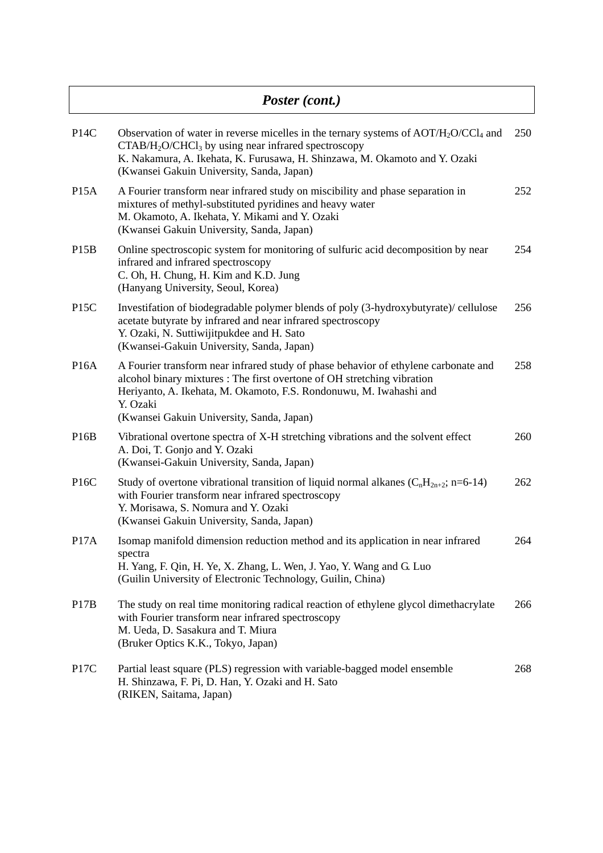# *Poster (cont.)*

| P <sub>14</sub> C | Observation of water in reverse micelles in the ternary systems of $AOT/H2O/CCl4$ and<br>$CTAB/H_2O/CHCl_3$ by using near infrared spectroscopy<br>K. Nakamura, A. Ikehata, K. Furusawa, H. Shinzawa, M. Okamoto and Y. Ozaki<br>(Kwansei Gakuin University, Sanda, Japan)                    | 250 |
|-------------------|-----------------------------------------------------------------------------------------------------------------------------------------------------------------------------------------------------------------------------------------------------------------------------------------------|-----|
| P <sub>15</sub> A | A Fourier transform near infrared study on miscibility and phase separation in<br>mixtures of methyl-substituted pyridines and heavy water<br>M. Okamoto, A. Ikehata, Y. Mikami and Y. Ozaki<br>(Kwansei Gakuin University, Sanda, Japan)                                                     | 252 |
| P <sub>15</sub> B | Online spectroscopic system for monitoring of sulfuric acid decomposition by near<br>infrared and infrared spectroscopy<br>C. Oh, H. Chung, H. Kim and K.D. Jung<br>(Hanyang University, Seoul, Korea)                                                                                        | 254 |
| P <sub>15</sub> C | Investifation of biodegradable polymer blends of poly (3-hydroxybutyrate)/ cellulose<br>acetate butyrate by infrared and near infrared spectroscopy<br>Y. Ozaki, N. Suttiwijitpukdee and H. Sato<br>(Kwansei-Gakuin University, Sanda, Japan)                                                 | 256 |
| P <sub>16</sub> A | A Fourier transform near infrared study of phase behavior of ethylene carbonate and<br>alcohol binary mixtures : The first overtone of OH stretching vibration<br>Heriyanto, A. Ikehata, M. Okamoto, F.S. Rondonuwu, M. Iwahashi and<br>Y. Ozaki<br>(Kwansei Gakuin University, Sanda, Japan) | 258 |
| P16B              | Vibrational overtone spectra of X-H stretching vibrations and the solvent effect<br>A. Doi, T. Gonjo and Y. Ozaki<br>(Kwansei-Gakuin University, Sanda, Japan)                                                                                                                                | 260 |
| P16C              | Study of overtone vibrational transition of liquid normal alkanes $(C_nH_{2n+2}; n=6-14)$<br>with Fourier transform near infrared spectroscopy<br>Y. Morisawa, S. Nomura and Y. Ozaki<br>(Kwansei Gakuin University, Sanda, Japan)                                                            | 262 |
| P <sub>17</sub> A | Isomap manifold dimension reduction method and its application in near infrared<br>spectra<br>H. Yang, F. Qin, H. Ye, X. Zhang, L. Wen, J. Yao, Y. Wang and G. Luo<br>(Guilin University of Electronic Technology, Guilin, China)                                                             | 264 |
| P17B              | The study on real time monitoring radical reaction of ethylene glycol dimethacrylate<br>with Fourier transform near infrared spectroscopy<br>M. Ueda, D. Sasakura and T. Miura<br>(Bruker Optics K.K., Tokyo, Japan)                                                                          | 266 |
| P <sub>17</sub> C | Partial least square (PLS) regression with variable-bagged model ensemble<br>H. Shinzawa, F. Pi, D. Han, Y. Ozaki and H. Sato<br>(RIKEN, Saitama, Japan)                                                                                                                                      | 268 |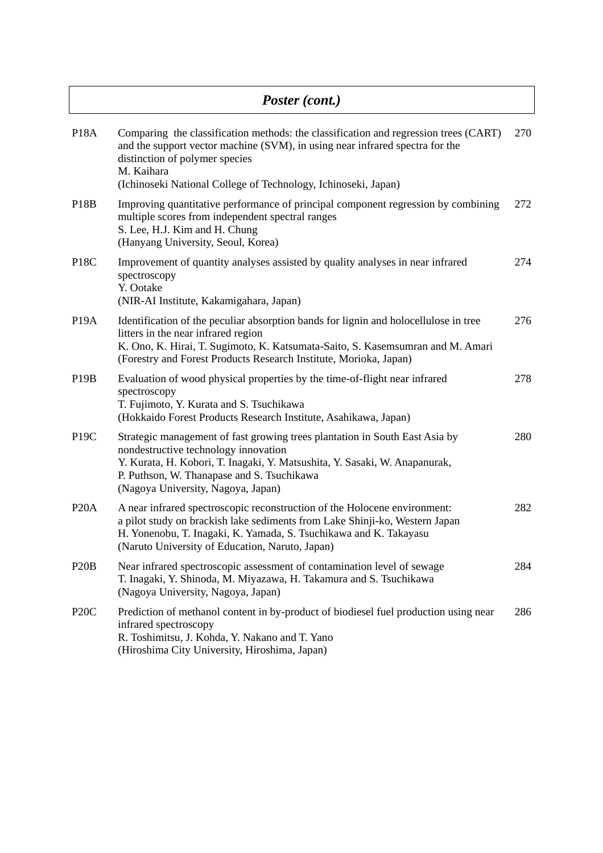| Poster (cont.)    |                                                                                                                                                                                                                                                                                        |     |  |
|-------------------|----------------------------------------------------------------------------------------------------------------------------------------------------------------------------------------------------------------------------------------------------------------------------------------|-----|--|
| P <sub>18</sub> A | Comparing the classification methods: the classification and regression trees (CART)<br>and the support vector machine (SVM), in using near infrared spectra for the<br>distinction of polymer species<br>M. Kaihara<br>(Ichinoseki National College of Technology, Ichinoseki, Japan) | 270 |  |
| P18B              | Improving quantitative performance of principal component regression by combining<br>multiple scores from independent spectral ranges<br>S. Lee, H.J. Kim and H. Chung<br>(Hanyang University, Seoul, Korea)                                                                           | 272 |  |
| P <sub>18</sub> C | Improvement of quantity analyses assisted by quality analyses in near infrared<br>spectroscopy<br>Y. Ootake<br>(NIR-AI Institute, Kakamigahara, Japan)                                                                                                                                 | 274 |  |
| P <sub>19</sub> A | Identification of the peculiar absorption bands for lignin and holocellulose in tree<br>litters in the near infrared region<br>K. Ono, K. Hirai, T. Sugimoto, K. Katsumata-Saito, S. Kasemsumran and M. Amari<br>(Forestry and Forest Products Research Institute, Morioka, Japan)     | 276 |  |
| P <sub>19</sub> B | Evaluation of wood physical properties by the time-of-flight near infrared<br>spectroscopy<br>T. Fujimoto, Y. Kurata and S. Tsuchikawa<br>(Hokkaido Forest Products Research Institute, Asahikawa, Japan)                                                                              | 278 |  |
| P <sub>19</sub> C | Strategic management of fast growing trees plantation in South East Asia by<br>nondestructive technology innovation<br>Y. Kurata, H. Kobori, T. Inagaki, Y. Matsushita, Y. Sasaki, W. Anapanurak,<br>P. Puthson, W. Thanapase and S. Tsuchikawa<br>(Nagoya University, Nagoya, Japan)  | 280 |  |
| P <sub>20</sub> A | A near infrared spectroscopic reconstruction of the Holocene environment:<br>a pilot study on brackish lake sediments from Lake Shinji-ko, Western Japan<br>H. Yonenobu, T. Inagaki, K. Yamada, S. Tsuchikawa and K. Takayasu<br>(Naruto University of Education, Naruto, Japan)       | 282 |  |
| P <sub>20</sub> B | Near infrared spectroscopic assessment of contamination level of sewage<br>T. Inagaki, Y. Shinoda, M. Miyazawa, H. Takamura and S. Tsuchikawa<br>(Nagoya University, Nagoya, Japan)                                                                                                    | 284 |  |
| P <sub>20</sub> C | Prediction of methanol content in by-product of biodiesel fuel production using near<br>infrared spectroscopy<br>R. Toshimitsu, J. Kohda, Y. Nakano and T. Yano<br>(Hiroshima City University, Hiroshima, Japan)                                                                       | 286 |  |